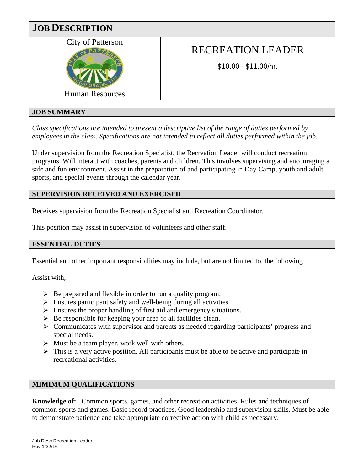

# **JOB SUMMARY**

*Class specifications are intended to present a descriptive list of the range of duties performed by employees in the class. Specifications are not intended to reflect all duties performed within the job.*

Under supervision from the Recreation Specialist, the Recreation Leader will conduct recreation programs. Will interact with coaches, parents and children. This involves supervising and encouraging a safe and fun environment. Assist in the preparation of and participating in Day Camp, youth and adult sports, and special events through the calendar year.

# **SUPERVISION RECEIVED AND EXERCISED**

Receives supervision from the Recreation Specialist and Recreation Coordinator.

This position may assist in supervision of volunteers and other staff.

#### **ESSENTIAL DUTIES**

Essential and other important responsibilities may include, but are not limited to, the following

Assist with;

- $\triangleright$  Be prepared and flexible in order to run a quality program.
- $\triangleright$  Ensures participant safety and well-being during all activities.
- $\triangleright$  Ensures the proper handling of first aid and emergency situations.
- $\triangleright$  Be responsible for keeping your area of all facilities clean.
- $\triangleright$  Communicates with supervisor and parents as needed regarding participants' progress and special needs.
- $\triangleright$  Must be a team player, work well with others.
- $\triangleright$  This is a very active position. All participants must be able to be active and participate in recreational activities.

# **MIMIMUM QUALIFICATIONS**

**Knowledge of:** Common sports, games, and other recreation activities. Rules and techniques of common sports and games. Basic record practices. Good leadership and supervision skills. Must be able to demonstrate patience and take appropriate corrective action with child as necessary.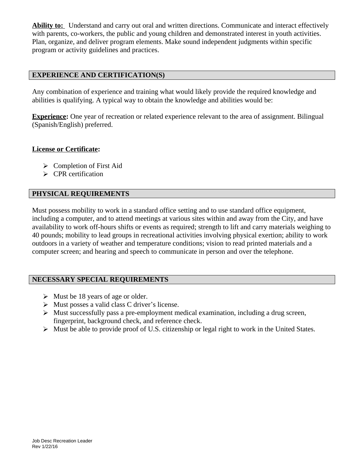**Ability to:** Understand and carry out oral and written directions. Communicate and interact effectively with parents, co-workers, the public and young children and demonstrated interest in youth activities. Plan, organize, and deliver program elements. Make sound independent judgments within specific program or activity guidelines and practices.

## **EXPERIENCE AND CERTIFICATION(S)**

Any combination of experience and training what would likely provide the required knowledge and abilities is qualifying. A typical way to obtain the knowledge and abilities would be:

**Experience:** One year of recreation or related experience relevant to the area of assignment. Bilingual (Spanish/English) preferred.

#### **License or Certificate:**

- $\triangleright$  Completion of First Aid
- $\triangleright$  CPR certification

## **PHYSICAL REQUIREMENTS**

Must possess mobility to work in a standard office setting and to use standard office equipment, including a computer, and to attend meetings at various sites within and away from the City, and have availability to work off-hours shifts or events as required; strength to lift and carry materials weighing to 40 pounds; mobility to lead groups in recreational activities involving physical exertion; ability to work outdoors in a variety of weather and temperature conditions; vision to read printed materials and a computer screen; and hearing and speech to communicate in person and over the telephone.

## **NECESSARY SPECIAL REQUIREMENTS**

- $\triangleright$  Must be 18 years of age or older.
- $\triangleright$  Must posses a valid class C driver's license.
- $\triangleright$  Must successfully pass a pre-employment medical examination, including a drug screen, fingerprint, background check, and reference check.
- $\triangleright$  Must be able to provide proof of U.S. citizenship or legal right to work in the United States.